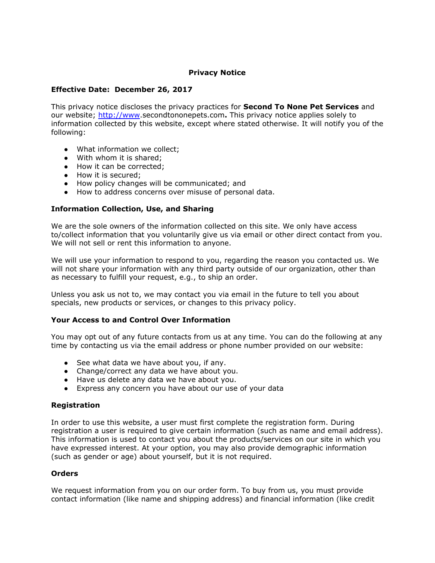# **Privacy Notice**

## **Effective Date: December 26, 2017**

This privacy notice discloses the privacy practices for **Second To None Pet Services** and our website; [http://www](http://www/).secondtononepets.com**.** This privacy notice applies solely to information collected by this website, except where stated otherwise. It will notify you of the following:

- What information we collect;
- With whom it is shared;
- How it can be corrected;
- How it is secured;
- How policy changes will be communicated; and
- How to address concerns over misuse of personal data.

## **Information Collection, Use, and Sharing**

We are the sole owners of the information collected on this site. We only have access to/collect information that you voluntarily give us via email or other direct contact from you. We will not sell or rent this information to anyone.

We will use your information to respond to you, regarding the reason you contacted us. We will not share your information with any third party outside of our organization, other than as necessary to fulfill your request, e.g., to ship an order.

Unless you ask us not to, we may contact you via email in the future to tell you about specials, new products or services, or changes to this privacy policy.

## **Your Access to and Control Over Information**

You may opt out of any future contacts from us at any time. You can do the following at any time by contacting us via the email address or phone number provided on our website:

- See what data we have about you, if any.
- Change/correct any data we have about you.
- Have us delete any data we have about you.
- Express any concern you have about our use of your data

## **Registration**

In order to use this website, a user must first complete the registration form. During registration a user is required to give certain information (such as name and email address). This information is used to contact you about the products/services on our site in which you have expressed interest. At your option, you may also provide demographic information (such as gender or age) about yourself, but it is not required.

#### **Orders**

We request information from you on our order form. To buy from us, you must provide contact information (like name and shipping address) and financial information (like credit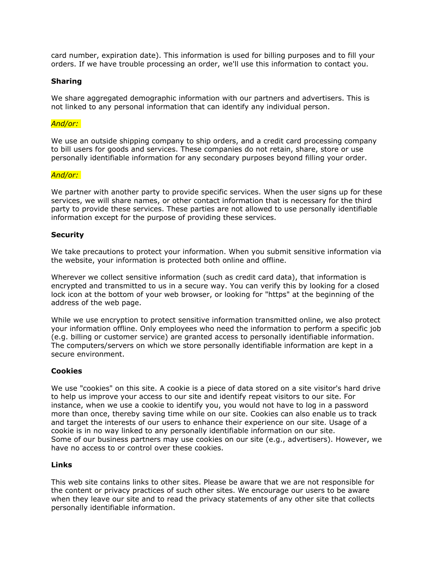card number, expiration date). This information is used for billing purposes and to fill your orders. If we have trouble processing an order, we'll use this information to contact you.

### **Sharing**

We share aggregated demographic information with our partners and advertisers. This is not linked to any personal information that can identify any individual person.

### *And/or:*

We use an outside shipping company to ship orders, and a credit card processing company to bill users for goods and services. These companies do not retain, share, store or use personally identifiable information for any secondary purposes beyond filling your order.

### *And/or:*

We partner with another party to provide specific services. When the user signs up for these services, we will share names, or other contact information that is necessary for the third party to provide these services. These parties are not allowed to use personally identifiable information except for the purpose of providing these services.

#### **Security**

We take precautions to protect your information. When you submit sensitive information via the website, your information is protected both online and offline.

Wherever we collect sensitive information (such as credit card data), that information is encrypted and transmitted to us in a secure way. You can verify this by looking for a closed lock icon at the bottom of your web browser, or looking for "https" at the beginning of the address of the web page.

While we use encryption to protect sensitive information transmitted online, we also protect your information offline. Only employees who need the information to perform a specific job (e.g. billing or customer service) are granted access to personally identifiable information. The computers/servers on which we store personally identifiable information are kept in a secure environment.

#### **Cookies**

We use "cookies" on this site. A cookie is a piece of data stored on a site visitor's hard drive to help us improve your access to our site and identify repeat visitors to our site. For instance, when we use a cookie to identify you, you would not have to log in a password more than once, thereby saving time while on our site. Cookies can also enable us to track and target the interests of our users to enhance their experience on our site. Usage of a cookie is in no way linked to any personally identifiable information on our site. Some of our business partners may use cookies on our site (e.g., advertisers). However, we have no access to or control over these cookies.

#### **Links**

This web site contains links to other sites. Please be aware that we are not responsible for the content or privacy practices of such other sites. We encourage our users to be aware when they leave our site and to read the privacy statements of any other site that collects personally identifiable information.